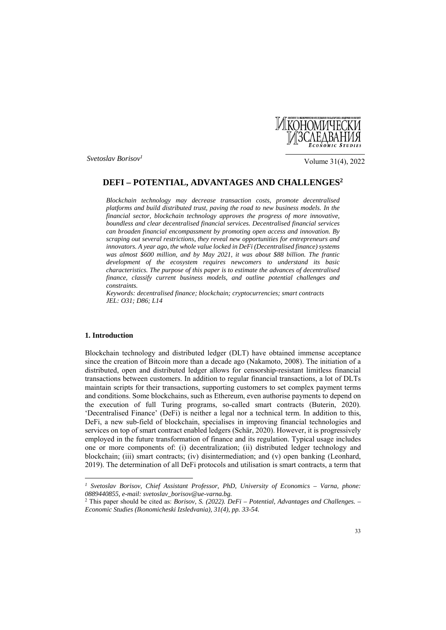

*Svetoslav Borisov1*

Volume 31(4), 2022

# **DEFI – POTENTIAL, ADVANTAGES AND CHALLENGES2**

*Blockchain technology may decrease transaction costs, promote decentralised platforms and build distributed trust, paving the road to new business models. In the financial sector, blockchain technology approves the progress of more innovative, boundless and clear decentralised financial services. Decentralised financial services can broaden financial encompassment by promoting open access and innovation. By scraping out several restrictions, they reveal new opportunities for entrepreneurs and innovators. A year ago, the whole value locked in DeFi (Decentralised finance) systems was almost \$600 million, and by May 2021, it was about \$88 billion. The frantic development of the ecosystem requires newcomers to understand its basic characteristics. The purpose of this paper is to estimate the advances of decentralised finance, classify current business models, and outline potential challenges and constraints.* 

*Keywords: decentralised finance; blockchain; cryptocurrencies; smart contracts JEL: O31; D86; L14* 

# **1. Introduction**

 $\overline{\phantom{a}}$ 

Blockchain technology and distributed ledger (DLT) have obtained immense acceptance since the creation of Bitcoin more than a decade ago (Nakamoto, 2008). The initiation of a distributed, open and distributed ledger allows for censorship-resistant limitless financial transactions between customers. In addition to regular financial transactions, a lot of DLTs maintain scripts for their transactions, supporting customers to set complex payment terms and conditions. Some blockchains, such as Ethereum, even authorise payments to depend on the execution of full Turing programs, so-called smart contracts (Buterin, 2020). 'Decentralised Finance' (DeFi) is neither a legal nor a technical term. In addition to this, DeFi, a new sub-field of blockchain, specialises in improving financial technologies and services on top of smart contract enabled ledgers (Schär, 2020). However, it is progressively employed in the future transformation of finance and its regulation. Typical usage includes one or more components of: (i) decentralization; (ii) distributed ledger technology and blockchain; (iii) smart contracts; (iv) disintermediation; and (v) open banking (Leonhard, 2019). The determination of all DeFi protocols and utilisation is smart contracts, a term that

*<sup>1</sup> Svetoslav Borisov, Chief Assistant Professor, PhD, University of Economics – Varna, phone: 0889440855, e-mail: svetoslav\_borisov@ue-varna.bg.* 

<sup>2</sup> This paper should be cited as: *Borisov, S. (2022). DeFi – Potential, Advantages and Challenges. – Economic Studies (Ikonomicheski Izsledvania), 31(4), pp. 33-54.*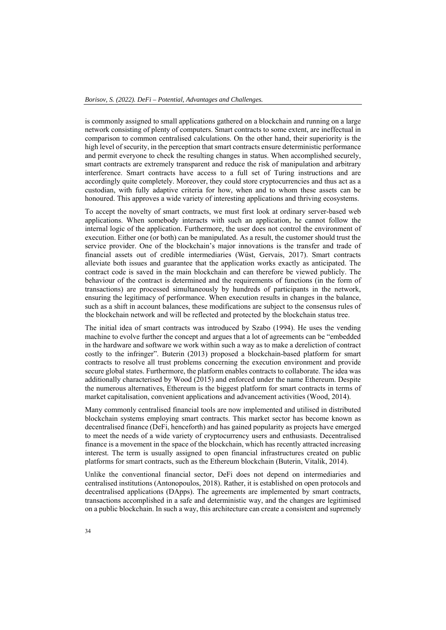is commonly assigned to small applications gathered on a blockchain and running on a large network consisting of plenty of computers. Smart contracts to some extent, are ineffectual in comparison to common centralised calculations. On the other hand, their superiority is the high level of security, in the perception that smart contracts ensure deterministic performance and permit everyone to check the resulting changes in status. When accomplished securely, smart contracts are extremely transparent and reduce the risk of manipulation and arbitrary interference. Smart contracts have access to a full set of Turing instructions and are accordingly quite completely. Moreover, they could store cryptocurrencies and thus act as a custodian, with fully adaptive criteria for how, when and to whom these assets can be honoured. This approves a wide variety of interesting applications and thriving ecosystems.

To accept the novelty of smart contracts, we must first look at ordinary server-based web applications. When somebody interacts with such an application, he cannot follow the internal logic of the application. Furthermore, the user does not control the environment of execution. Either one (or both) can be manipulated. As a result, the customer should trust the service provider. One of the blockchain's major innovations is the transfer and trade of financial assets out of credible intermediaries (Wüst, Gervais, 2017). Smart contracts alleviate both issues and guarantee that the application works exactly as anticipated. The contract code is saved in the main blockchain and can therefore be viewed publicly. The behaviour of the contract is determined and the requirements of functions (in the form of transactions) are processed simultaneously by hundreds of participants in the network, ensuring the legitimacy of performance. When execution results in changes in the balance, such as a shift in account balances, these modifications are subject to the consensus rules of the blockchain network and will be reflected and protected by the blockchain status tree.

The initial idea of smart contracts was introduced by Szabo (1994). He uses the vending machine to evolve further the concept and argues that a lot of agreements can be "embedded in the hardware and software we work within such a way as to make a dereliction of contract costly to the infringer". Buterin (2013) proposed a blockchain-based platform for smart contracts to resolve all trust problems concerning the execution environment and provide secure global states. Furthermore, the platform enables contracts to collaborate. The idea was additionally characterised by Wood (2015) and enforced under the name Ethereum. Despite the numerous alternatives, Ethereum is the biggest platform for smart contracts in terms of market capitalisation, convenient applications and advancement activities (Wood, 2014).

Many commonly centralised financial tools are now implemented and utilised in distributed blockchain systems employing smart contracts. This market sector has become known as decentralised finance (DeFi, henceforth) and has gained popularity as projects have emerged to meet the needs of a wide variety of cryptocurrency users and enthusiasts. Decentralised finance is a movement in the space of the blockchain, which has recently attracted increasing interest. The term is usually assigned to open financial infrastructures created on public platforms for smart contracts, such as the Ethereum blockchain (Buterin, Vitalik, 2014).

Unlike the conventional financial sector, DeFi does not depend on intermediaries and centralised institutions (Antonopoulos, 2018). Rather, it is established on open protocols and decentralised applications (DApps). The agreements are implemented by smart contracts, transactions accomplished in a safe and deterministic way, and the changes are legitimised on a public blockchain. In such a way, this architecture can create a consistent and supremely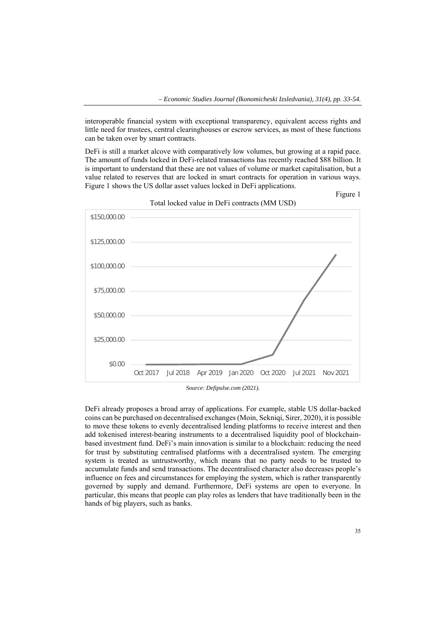interoperable financial system with exceptional transparency, equivalent access rights and little need for trustees, central clearinghouses or escrow services, as most of these functions can be taken over by smart contracts.

DeFi is still a market alcove with comparatively low volumes, but growing at a rapid pace. The amount of funds locked in DeFi-related transactions has recently reached \$88 billion. It is important to understand that these are not values of volume or market capitalisation, but a value related to reserves that are locked in smart contracts for operation in various ways. Figure 1 shows the US dollar asset values locked in DeFi applications.



Total locked value in DeFi contracts (MM USD)

*Source: Defipulse.com (2021).* 

DeFi already proposes a broad array of applications. For example, stable US dollar-backed coins can be purchased on decentralised exchanges (Moin, Sekniqi, Sirer, 2020), it is possible to move these tokens to evenly decentralised lending platforms to receive interest and then add tokenised interest-bearing instruments to a decentralised liquidity pool of blockchainbased investment fund. DeFi's main innovation is similar to a blockchain: reducing the need for trust by substituting centralised platforms with a decentralised system. The emerging system is treated as untrustworthy, which means that no party needs to be trusted to accumulate funds and send transactions. The decentralised character also decreases people's influence on fees and circumstances for employing the system, which is rather transparently governed by supply and demand. Furthermore, DeFi systems are open to everyone. In particular, this means that people can play roles as lenders that have traditionally been in the hands of big players, such as banks.

Figure 1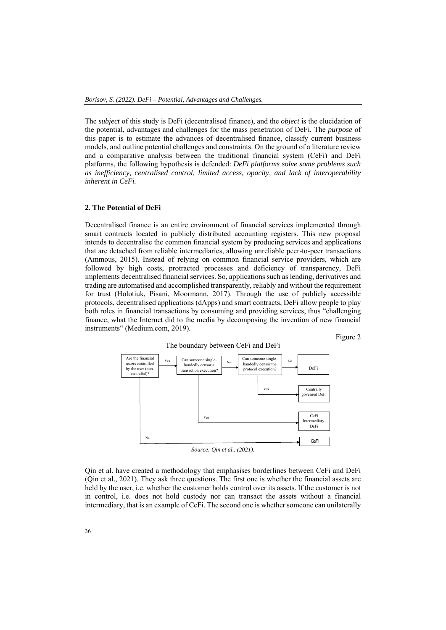The *subject* of this study is DeFi (decentralised finance), and the *object* is the elucidation of the potential, advantages and challenges for the mass penetration of DeFi. The *purpose* of this paper is to estimate the advances of decentralised finance, classify current business models, and outline potential challenges and constraints. On the ground of a literature review and а comparative analysis between the traditional financial system (CeFi) and DeFi platforms, the following hypothesis is defended: *DeFi platforms solve some problems such as inefficiency, centralised control, limited access, opacity, and lack of interoperability inherent in CeFi.* 

# **2. The Potential of DeFi**

Decentralised finance is an entire environment of financial services implemented through smart contracts located in publicly distributed accounting registers. This new proposal intends to decentralise the common financial system by producing services and applications that are detached from reliable intermediaries, allowing unreliable peer-to-peer transactions (Ammous, 2015). Instead of relying on common financial service providers, which are followed by high costs, protracted processes and deficiency of transparency, DeFi implements decentralised financial services. So, applications such as lending, derivatives and trading are automatised and accomplished transparently, reliably and without the requirement for trust (Holotiuk, Pisani, Moormann, 2017). Through the use of publicly accessible protocols, decentralised applications (dApps) and smart contracts, DeFi allow people to play both roles in financial transactions by consuming and providing services, thus "challenging finance, what the Internet did to the media by decomposing the invention of new financial instruments" (Medium.com, 2019).

Figure 2



Qin et al. have created a methodology that emphasises borderlines between CeFi and DeFi (Qin et al., 2021). They ask three questions. The first one is whether the financial assets are held by the user, i.e. whether the customer holds control over its assets. If the customer is not in control, i.e. does not hold custody nor can transact the assets without a financial intermediary, that is an example of CeFi. The second one is whether someone can unilaterally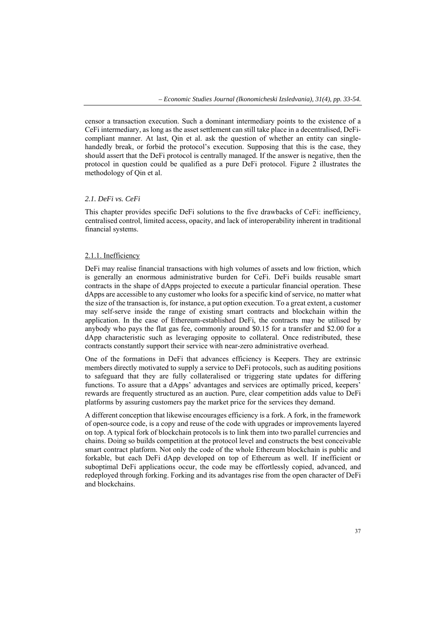censor a transaction execution. Such a dominant intermediary points to the existence of a CeFi intermediary, as long as the asset settlement can still take place in a decentralised, DeFicompliant manner. At last, Qin et al. ask the question of whether an entity can singlehandedly break, or forbid the protocol's execution. Supposing that this is the case, they should assert that the DeFi protocol is centrally managed. If the answer is negative, then the protocol in question could be qualified as a pure DeFi protocol. Figure 2 illustrates the methodology of Qin et al.

# *2.1. DeFi vs. CeFi*

This chapter provides specific DeFi solutions to the five drawbacks of CeFi: inefficiency, centralised control, limited access, opacity, and lack of interoperability inherent in traditional financial systems.

# 2.1.1. Inefficiency

DeFi may realise financial transactions with high volumes of assets and low friction, which is generally an enormous administrative burden for CeFi. DeFi builds reusable smart contracts in the shape of dApps projected to execute a particular financial operation. These dApps are accessible to any customer who looks for a specific kind of service, no matter what the size of the transaction is, for instance, a put option execution. To a great extent, a customer may self-serve inside the range of existing smart contracts and blockchain within the application. In the case of Ethereum-established DeFi, the contracts may be utilised by anybody who pays the flat gas fee, commonly around \$0.15 for a transfer and \$2.00 for a dApp characteristic such as leveraging opposite to collateral. Once redistributed, these contracts constantly support their service with near-zero administrative overhead.

One of the formations in DeFi that advances efficiency is Keepers. They are extrinsic members directly motivated to supply a service to DeFi protocols, such as auditing positions to safeguard that they are fully collateralised or triggering state updates for differing functions. To assure that a dApps' advantages and services are optimally priced, keepers' rewards are frequently structured as an auction. Pure, clear competition adds value to DeFi platforms by assuring customers pay the market price for the services they demand.

A different conception that likewise encourages efficiency is a fork. A fork, in the framework of open-source code, is a copy and reuse of the code with upgrades or improvements layered on top. A typical fork of blockchain protocols is to link them into two parallel currencies and chains. Doing so builds competition at the protocol level and constructs the best conceivable smart contract platform. Not only the code of the whole Ethereum blockchain is public and forkable, but each DeFi dApp developed on top of Ethereum as well. If inefficient or suboptimal DeFi applications occur, the code may be effortlessly copied, advanced, and redeployed through forking. Forking and its advantages rise from the open character of DeFi and blockchains.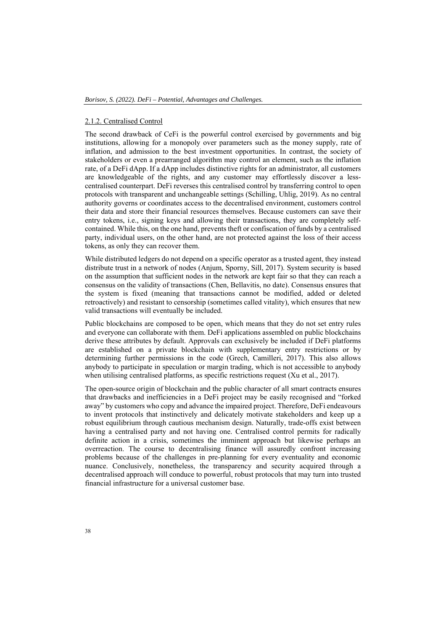### 2.1.2. Centralised Control

The second drawback of CeFi is the powerful control exercised by governments and big institutions, allowing for a monopoly over parameters such as the money supply, rate of inflation, and admission to the best investment opportunities. In contrast, the society of stakeholders or even a prearranged algorithm may control an element, such as the inflation rate, of a DeFi dApp. If a dApp includes distinctive rights for an administrator, all customers are knowledgeable of the rights, and any customer may effortlessly discover a lesscentralised counterpart. DeFi reverses this centralised control by transferring control to open protocols with transparent and unchangeable settings (Schilling, Uhlig, 2019). As no central authority governs or coordinates access to the decentralised environment, customers control their data and store their financial resources themselves. Because customers can save their entry tokens, i.e., signing keys and allowing their transactions, they are completely selfcontained. While this, on the one hand, prevents theft or confiscation of funds by a centralised party, individual users, on the other hand, are not protected against the loss of their access tokens, as only they can recover them.

While distributed ledgers do not depend on a specific operator as a trusted agent, they instead distribute trust in a network of nodes (Anjum, Sporny, Sill, 2017). System security is based on the assumption that sufficient nodes in the network are kept fair so that they can reach a consensus on the validity of transactions (Chen, Bellavitis, no date). Consensus ensures that the system is fixed (meaning that transactions cannot be modified, added or deleted retroactively) and resistant to censorship (sometimes called vitality), which ensures that new valid transactions will eventually be included.

Public blockchains are composed to be open, which means that they do not set entry rules and everyone can collaborate with them. DeFi applications assembled on public blockchains derive these attributes by default. Approvals can exclusively be included if DeFi platforms are established on a private blockchain with supplementary entry restrictions or by determining further permissions in the code (Grech, Camilleri, 2017). This also allows anybody to participate in speculation or margin trading, which is not accessible to anybody when utilising centralised platforms, as specific restrictions request (Xu et al., 2017).

The open-source origin of blockchain and the public character of all smart contracts ensures that drawbacks and inefficiencies in a DeFi project may be easily recognised and "forked away" by customers who copy and advance the impaired project. Therefore, DeFi endeavours to invent protocols that instinctively and delicately motivate stakeholders and keep up a robust equilibrium through cautious mechanism design. Naturally, trade-offs exist between having a centralised party and not having one. Centralised control permits for radically definite action in a crisis, sometimes the imminent approach but likewise perhaps an overreaction. The course to decentralising finance will assuredly confront increasing problems because of the challenges in pre-planning for every eventuality and economic nuance. Conclusively, nonetheless, the transparency and security acquired through a decentralised approach will conduce to powerful, robust protocols that may turn into trusted financial infrastructure for a universal customer base.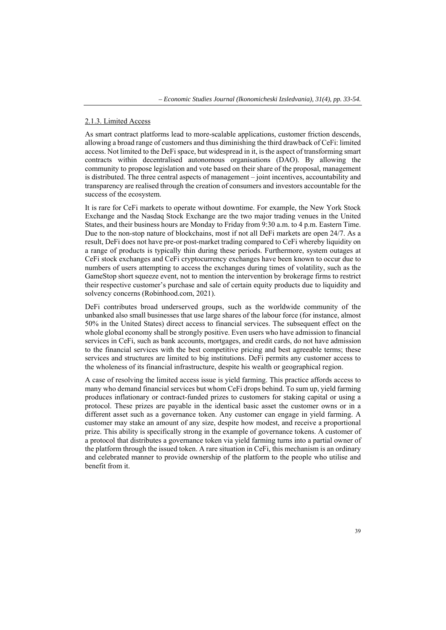# 2.1.3. Limited Access

As smart contract platforms lead to more-scalable applications, customer friction descends, allowing a broad range of customers and thus diminishing the third drawback of CeFi: limited access. Not limited to the DeFi space, but widespread in it, is the aspect of transforming smart contracts within decentralised autonomous organisations (DAO). By allowing the community to propose legislation and vote based on their share of the proposal, management is distributed. The three central aspects of management – joint incentives, accountability and transparency are realised through the creation of consumers and investors accountable for the success of the ecosystem.

It is rare for CeFi markets to operate without downtime. For example, the New York Stock Exchange and the Nasdaq Stock Exchange are the two major trading venues in the United States, and their business hours are Monday to Friday from 9:30 a.m. to 4 p.m. Eastern Time. Due to the non-stop nature of blockchains, most if not all DeFi markets are open 24/7. As a result, DeFi does not have pre-or post-market trading compared to CeFi whereby liquidity on a range of products is typically thin during these periods. Furthermore, system outages at CeFi stock exchanges and CeFi cryptocurrency exchanges have been known to occur due to numbers of users attempting to access the exchanges during times of volatility, such as the GameStop short squeeze event, not to mention the intervention by brokerage firms to restrict their respective customer's purchase and sale of certain equity products due to liquidity and solvency concerns (Robinhood.com, 2021).

DeFi contributes broad underserved groups, such as the worldwide community of the unbanked also small businesses that use large shares of the labour force (for instance, almost 50% in the United States) direct access to financial services. The subsequent effect on the whole global economy shall be strongly positive. Even users who have admission to financial services in CeFi, such as bank accounts, mortgages, and credit cards, do not have admission to the financial services with the best competitive pricing and best agreeable terms; these services and structures are limited to big institutions. DeFi permits any customer access to the wholeness of its financial infrastructure, despite his wealth or geographical region.

A case of resolving the limited access issue is yield farming. This practice affords access to many who demand financial services but whom CeFi drops behind. To sum up, yield farming produces inflationary or contract-funded prizes to customers for staking capital or using a protocol. These prizes are payable in the identical basic asset the customer owns or in a different asset such as a governance token. Any customer can engage in yield farming. A customer may stake an amount of any size, despite how modest, and receive a proportional prize. This ability is specifically strong in the example of governance tokens. A customer of a protocol that distributes a governance token via yield farming turns into a partial owner of the platform through the issued token. A rare situation in CeFi, this mechanism is an ordinary and celebrated manner to provide ownership of the platform to the people who utilise and benefit from it.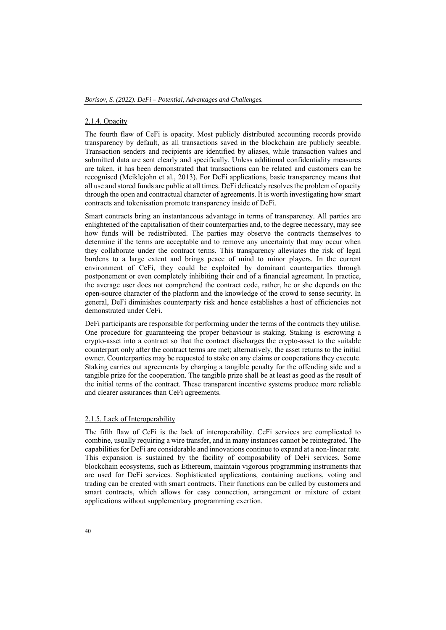# 2.1.4. Opacity

The fourth flaw of CeFi is opacity. Most publicly distributed accounting records provide transparency by default, as all transactions saved in the blockchain are publicly seeable. Transaction senders and recipients are identified by aliases, while transaction values and submitted data are sent clearly and specifically. Unless additional confidentiality measures are taken, it has been demonstrated that transactions can be related and customers can be recognised (Meiklejohn et al., 2013). For DeFi applications, basic transparency means that all use and stored funds are public at all times. DeFi delicately resolves the problem of opacity through the open and contractual character of agreements. It is worth investigating how smart contracts and tokenisation promote transparency inside of DeFi.

Smart contracts bring an instantaneous advantage in terms of transparency. All parties are enlightened of the capitalisation of their counterparties and, to the degree necessary, may see how funds will be redistributed. The parties may observe the contracts themselves to determine if the terms are acceptable and to remove any uncertainty that may occur when they collaborate under the contract terms. This transparency alleviates the risk of legal burdens to a large extent and brings peace of mind to minor players. In the current environment of CeFi, they could be exploited by dominant counterparties through postponement or even completely inhibiting their end of a financial agreement. In practice, the average user does not comprehend the contract code, rather, he or she depends on the open-source character of the platform and the knowledge of the crowd to sense security. In general, DeFi diminishes counterparty risk and hence establishes a host of efficiencies not demonstrated under CeFi.

DeFi participants are responsible for performing under the terms of the contracts they utilise. One procedure for guaranteeing the proper behaviour is staking. Staking is escrowing a crypto-asset into a contract so that the contract discharges the crypto-asset to the suitable counterpart only after the contract terms are met; alternatively, the asset returns to the initial owner. Counterparties may be requested to stake on any claims or cooperations they execute. Staking carries out agreements by charging a tangible penalty for the offending side and a tangible prize for the cooperation. The tangible prize shall be at least as good as the result of the initial terms of the contract. These transparent incentive systems produce more reliable and clearer assurances than CeFi agreements.

### 2.1.5. Lack of Interoperability

The fifth flaw of CeFi is the lack of interoperability. CeFi services are complicated to combine, usually requiring a wire transfer, and in many instances cannot be reintegrated. The capabilities for DeFi are considerable and innovations continue to expand at a non-linear rate. This expansion is sustained by the facility of composability of DeFi services. Some blockchain ecosystems, such as Ethereum, maintain vigorous programming instruments that are used for DeFi services. Sophisticated applications, containing auctions, voting and trading can be created with smart contracts. Their functions can be called by customers and smart contracts, which allows for easy connection, arrangement or mixture of extant applications without supplementary programming exertion.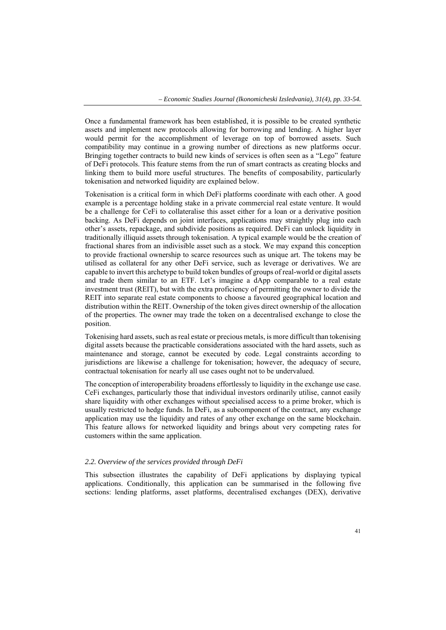Once a fundamental framework has been established, it is possible to be created synthetic assets and implement new protocols allowing for borrowing and lending. A higher layer would permit for the accomplishment of leverage on top of borrowed assets. Such compatibility may continue in a growing number of directions as new platforms occur. Bringing together contracts to build new kinds of services is often seen as a "Lego" feature of DeFi protocols. This feature stems from the run of smart contracts as creating blocks and linking them to build more useful structures. The benefits of composability, particularly tokenisation and networked liquidity are explained below.

Tokenisation is a critical form in which DeFi platforms coordinate with each other. A good example is a percentage holding stake in a private commercial real estate venture. It would be a challenge for CeFi to collateralise this asset either for a loan or a derivative position backing. As DeFi depends on joint interfaces, applications may straightly plug into each other's assets, repackage, and subdivide positions as required. DeFi can unlock liquidity in traditionally illiquid assets through tokenisation. A typical example would be the creation of fractional shares from an indivisible asset such as a stock. We may expand this conception to provide fractional ownership to scarce resources such as unique art. The tokens may be utilised as collateral for any other DeFi service, such as leverage or derivatives. We are capable to invert this archetype to build token bundles of groups of real-world or digital assets and trade them similar to an ETF. Let's imagine a dApp comparable to a real estate investment trust (REIT), but with the extra proficiency of permitting the owner to divide the REIT into separate real estate components to choose a favoured geographical location and distribution within the REIT. Ownership of the token gives direct ownership of the allocation of the properties. The owner may trade the token on a decentralised exchange to close the position.

Tokenising hard assets, such as real estate or precious metals, is more difficult than tokenising digital assets because the practicable considerations associated with the hard assets, such as maintenance and storage, cannot be executed by code. Legal constraints according to jurisdictions are likewise a challenge for tokenisation; however, the adequacy of secure, contractual tokenisation for nearly all use cases ought not to be undervalued.

The conception of interoperability broadens effortlessly to liquidity in the exchange use case. CeFi exchanges, particularly those that individual investors ordinarily utilise, cannot easily share liquidity with other exchanges without specialised access to a prime broker, which is usually restricted to hedge funds. In DeFi, as a subcomponent of the contract, any exchange application may use the liquidity and rates of any other exchange on the same blockchain. This feature allows for networked liquidity and brings about very competing rates for customers within the same application.

# *2.2. Overview of the services provided through DeFi*

This subsection illustrates the capability of DeFi applications by displaying typical applications. Conditionally, this application can be summarised in the following five sections: lending platforms, asset platforms, decentralised exchanges (DEX), derivative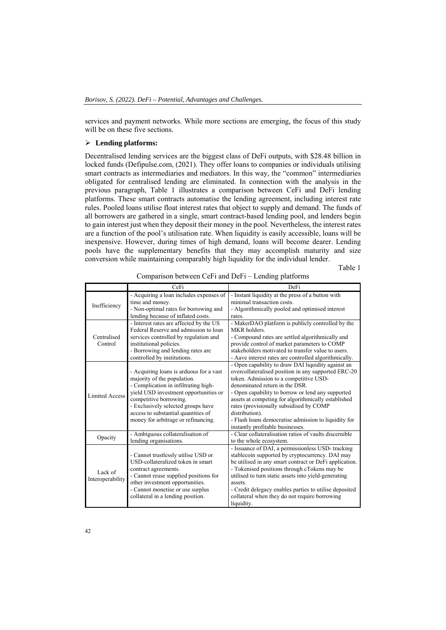services and payment networks. While more sections are emerging, the focus of this study will be on these five sections.

# **Lending platforms:**

Decentralised lending services are the biggest class of DeFi outputs, with \$28.48 billion in locked funds (Defipulse.com, (2021). They offer loans to companies or individuals utilising smart contracts as intermediaries and mediators. In this way, the "common" intermediaries obligated for centralised lending are eliminated. In connection with the analysis in the previous paragraph, Table 1 illustrates a comparison between CeFi and DeFi lending platforms. These smart contracts automatise the lending agreement, including interest rate rules. Pooled loans utilise float interest rates that object to supply and demand. The funds of all borrowers are gathered in a single, smart contract-based lending pool, and lenders begin to gain interest just when they deposit their money in the pool. Nevertheless, the interest rates are a function of the pool's utilisation rate. When liquidity is easily accessible, loans will be inexpensive. However, during times of high demand, loans will become dearer. Lending pools have the supplementary benefits that they may accomplish maturity and size conversion while maintaining comparably high liquidity for the individual lender.

Table 1

|                             | CeFi                                    | <b>DeFi</b>                                            |
|-----------------------------|-----------------------------------------|--------------------------------------------------------|
| Inefficiency                | - Acquiring a loan includes expenses of | - Instant liquidity at the press of a button with      |
|                             | time and money.                         | minimal transaction costs.                             |
|                             | - Non-optimal rates for borrowing and   | - Algorithmically pooled and optimised interest        |
|                             | lending because of inflated costs.      | rates.                                                 |
|                             | - Interest rates are affected by the US | - MakerDAO platform is publicly controlled by the      |
|                             | Federal Reserve and admission to loan   | MKR holders.                                           |
| Centralised                 | services controlled by regulation and   | - Compound rates are settled algorithmically and       |
| Control                     | institutional policies.                 | provide control of market parameters to COMP           |
|                             | - Borrowing and lending rates are       | stakeholders motivated to transfer value to users.     |
|                             | controlled by institutions.             | - Aave interest rates are controlled algorithmically.  |
|                             |                                         | - Open capability to draw DAI liquidity against an     |
|                             | - Acquiring loans is arduous for a vast | overcollateralised position in any supported ERC-20    |
|                             | majority of the population.             | token. Admission to a competitive USD-                 |
|                             | - Complication in infiltrating high-    | denominated return in the DSR.                         |
| <b>Limited Access</b>       | yield USD investment opportunities or   | - Open capability to borrow or lend any supported      |
|                             | competitive borrowing.                  | assets at competing for algorithmically established    |
|                             | - Exclusively selected groups have      | rates (provisionally subsidised by COMP                |
|                             | access to substantial quantities of     | distribution).                                         |
|                             | money for arbitrage or refinancing.     | - Flash loans democratise admission to liquidity for   |
|                             |                                         | instantly profitable businesses.                       |
| Opacity                     | - Ambiguous collateralisation of        | - Clear collateralisation ratios of vaults discernible |
|                             | lending organisations.                  | to the whole ecosystem.                                |
| Lack of<br>Interoperability |                                         | - Issuance of DAI, a permissionless USD-tracking       |
|                             | - Cannot trustlessly utilise USD or     | stablecoin supported by cryptocurrency. DAI may        |
|                             | USD-collateralized token in smart       | be utilised in any smart contract or DeFi application. |
|                             | contract agreements.                    | - Tokenised positions through cTokens may be           |
|                             | - Cannot reuse supplied positions for   | utilised to turn static assets into yield-generating   |
|                             | other investment opportunities.         | assets.                                                |
|                             | - Cannot monetise or use surplus        | - Credit delegacy enables parties to utilise deposited |
|                             | collateral in a lending position.       | collateral when they do not require borrowing          |
|                             |                                         | liquidity.                                             |

Comparison between CeFi and DeFi – Lending platforms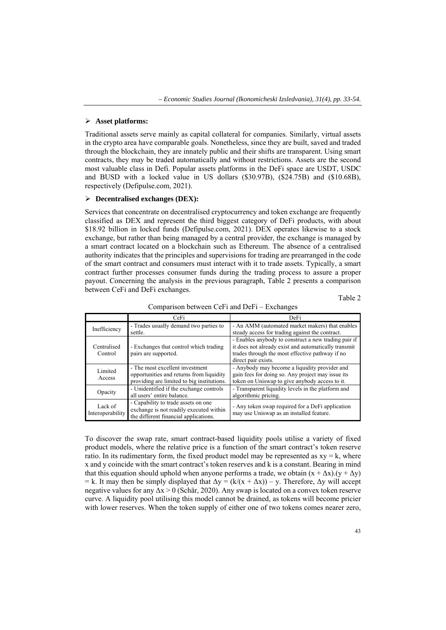# **Asset platforms:**

Traditional assets serve mainly as capital collateral for companies. Similarly, virtual assets in the crypto area have comparable goals. Nonetheless, since they are built, saved and traded through the blockchain, they are innately public and their shifts are transparent. Using smart contracts, they may be traded automatically and without restrictions. Assets are the second most valuable class in Defi. Popular assets platforms in the DeFi space are USDT, USDC and BUSD with a locked value in US dollars (\$30.97B), (\$24.75B) and (\$10.68B), respectively (Defipulse.com, 2021).

# **Decentralised exchanges (DEX):**

Services that concentrate on decentralised cryptocurrency and token exchange are frequently classified as DEX and represent the third biggest category of DeFi products, with about \$18.92 billion in locked funds (Defipulse.com, 2021). DEX operates likewise to a stock exchange, but rather than being managed by a central provider, the exchange is managed by a smart contract located on a blockchain such as Ethereum. The absence of a centralised authority indicates that the principles and supervisions for trading are prearranged in the code of the smart contract and consumers must interact with it to trade assets. Typically, a smart contract further processes consumer funds during the trading process to assure a proper payout. Concerning the analysis in the previous paragraph, Table 2 presents a comparison between CeFi and DeFi exchanges.

| ٠ |  |
|---|--|

|                             | CeFi                                                                                                                      | <b>DeFi</b>                                                                                                                                                                            |
|-----------------------------|---------------------------------------------------------------------------------------------------------------------------|----------------------------------------------------------------------------------------------------------------------------------------------------------------------------------------|
| Inefficiency                | - Trades usually demand two parties to<br>settle.                                                                         | - An AMM (automated market makers) that enables<br>steady access for trading against the contract.                                                                                     |
| Centralised<br>Control      | - Exchanges that control which trading<br>pairs are supported.                                                            | - Enables anybody to construct a new trading pair if<br>it does not already exist and automatically transmit<br>trades through the most effective pathway if no<br>direct pair exists. |
| Limited<br>Access           | - The most excellent investment<br>opportunities and returns from liquidity<br>providing are limited to big institutions. | - Anybody may become a liquidity provider and<br>gain fees for doing so. Any project may issue its<br>token on Uniswap to give anybody access to it.                                   |
| Opacity                     | - Unidentified if the exchange controls<br>all users' entire balance.                                                     | - Transparent liquidity levels in the platform and<br>algorithmic pricing.                                                                                                             |
| Lack of<br>Interoperability | - Capability to trade assets on one<br>exchange is not readily executed within<br>the different financial applications.   | - Any token swap required for a DeFi application<br>may use Uniswap as an installed feature.                                                                                           |

Comparison between CeFi and DeFi – Exchanges

To discover the swap rate, smart contract-based liquidity pools utilise a variety of fixed product models, where the relative price is a function of the smart contract's token reserve ratio. In its rudimentary form, the fixed product model may be represented as  $xy = k$ , where x and y coincide with the smart contract's token reserves and k is a constant. Bearing in mind that this equation should uphold when anyone performs a trade, we obtain  $(x + \Delta x)$ .  $(y + \Delta y)$ = k. It may then be simply displayed that  $\Delta y = (k/(x + \Delta x)) - y$ . Therefore,  $\Delta y$  will accept negative values for any  $\Delta x > 0$  (Schär, 2020). Any swap is located on a convex token reserve curve. A liquidity pool utilising this model cannot be drained, as tokens will become pricier with lower reserves. When the token supply of either one of two tokens comes nearer zero,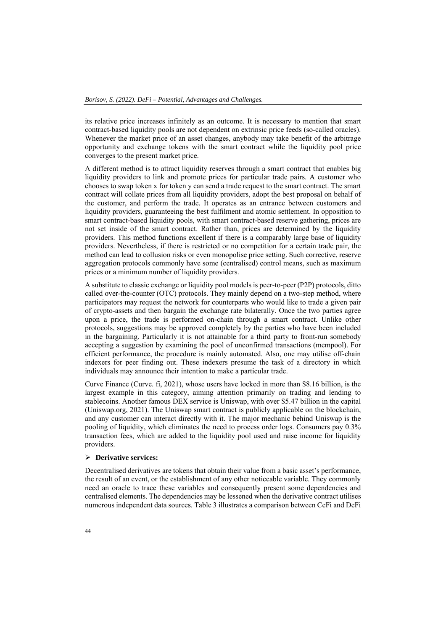its relative price increases infinitely as an outcome. It is necessary to mention that smart contract-based liquidity pools are not dependent on extrinsic price feeds (so-called oracles). Whenever the market price of an asset changes, anybody may take benefit of the arbitrage opportunity and exchange tokens with the smart contract while the liquidity pool price converges to the present market price.

A different method is to attract liquidity reserves through a smart contract that enables big liquidity providers to link and promote prices for particular trade pairs. A customer who chooses to swap token x for token y can send a trade request to the smart contract. The smart contract will collate prices from all liquidity providers, adopt the best proposal on behalf of the customer, and perform the trade. It operates as an entrance between customers and liquidity providers, guaranteeing the best fulfilment and atomic settlement. In opposition to smart contract-based liquidity pools, with smart contract-based reserve gathering, prices are not set inside of the smart contract. Rather than, prices are determined by the liquidity providers. This method functions excellent if there is a comparably large base of liquidity providers. Nevertheless, if there is restricted or no competition for a certain trade pair, the method can lead to collusion risks or even monopolise price setting. Such corrective, reserve aggregation protocols commonly have some (centralised) control means, such as maximum prices or a minimum number of liquidity providers.

A substitute to classic exchange or liquidity pool models is peer-to-peer (P2P) protocols, ditto called over-the-counter (OTC) protocols. They mainly depend on a two-step method, where participators may request the network for counterparts who would like to trade a given pair of crypto-assets and then bargain the exchange rate bilaterally. Once the two parties agree upon a price, the trade is performed on-chain through a smart contract. Unlike other protocols, suggestions may be approved completely by the parties who have been included in the bargaining. Particularly it is not attainable for a third party to front-run somebody accepting a suggestion by examining the pool of unconfirmed transactions (mempool). For efficient performance, the procedure is mainly automated. Also, one may utilise off-chain indexers for peer finding out. These indexers presume the task of a directory in which individuals may announce their intention to make a particular trade.

Curve Finance (Curve. fi, 2021), whose users have locked in more than \$8.16 billion, is the largest example in this category, aiming attention primarily on trading and lending to stablecoins. Another famous DEX service is Uniswap, with over \$5.47 billion in the capital (Uniswap.org, 2021). The Uniswap smart contract is publicly applicable on the blockchain, and any customer can interact directly with it. The major mechanic behind Uniswap is the pooling of liquidity, which eliminates the need to process order logs. Consumers pay 0.3% transaction fees, which are added to the liquidity pool used and raise income for liquidity providers.

### **Derivative services:**

Decentralised derivatives are tokens that obtain their value from a basic asset's performance, the result of an event, or the establishment of any other noticeable variable. They commonly need an oracle to trace these variables and consequently present some dependencies and centralised elements. The dependencies may be lessened when the derivative contract utilises numerous independent data sources. Table 3 illustrates a comparison between CeFi and DeFi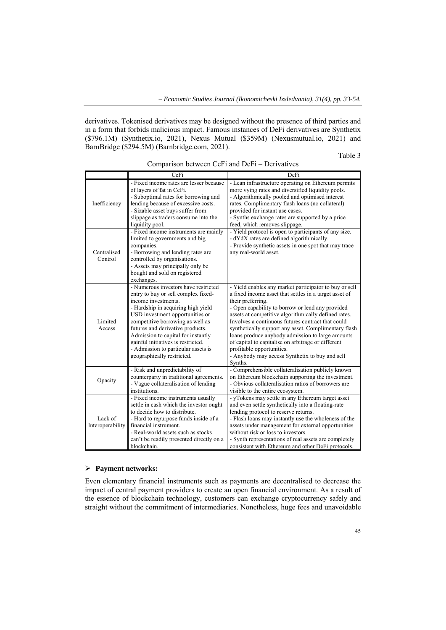derivatives. Tokenised derivatives may be designed without the presence of third parties and in a form that forbids malicious impact. Famous instances of DeFi derivatives are Synthetix (\$796.1M) (Synthetix.io, 2021), Nexus Mutual (\$359M) (Nexusmutual.io, 2021) and BarnBridge (\$294.5M) (Barnbridge.com, 2021).

Table 3

|                             | CeFi                                                                                                                                                                                                                                                                                                                                                                                                 | DeFi                                                                                                                                                                                                                                                                                                                                                                                                                                                                                                                                                               |
|-----------------------------|------------------------------------------------------------------------------------------------------------------------------------------------------------------------------------------------------------------------------------------------------------------------------------------------------------------------------------------------------------------------------------------------------|--------------------------------------------------------------------------------------------------------------------------------------------------------------------------------------------------------------------------------------------------------------------------------------------------------------------------------------------------------------------------------------------------------------------------------------------------------------------------------------------------------------------------------------------------------------------|
| Inefficiency                | - Fixed income rates are lesser because<br>of layers of fat in CeFi.<br>- Suboptimal rates for borrowing and<br>lending because of excessive costs.<br>- Sizable asset buys suffer from<br>slippage as traders consume into the<br>liquidity pool.                                                                                                                                                   | - Lean infrastructure operating on Ethereum permits<br>more vying rates and diversified liquidity pools.<br>- Algorithmically pooled and optimised interest<br>rates. Complimentary flash loans (no collateral)<br>provided for instant use cases.<br>- Synths exchange rates are supported by a price<br>feed, which removes slippage.                                                                                                                                                                                                                            |
| Centralised<br>Control      | - Fixed income instruments are mainly<br>limited to governments and big<br>companies.<br>- Borrowing and lending rates are<br>controlled by organisations.<br>- Assets may principally only be<br>bought and sold on registered<br>exchanges.                                                                                                                                                        | - Yield protocol is open to participants of any size.<br>- dYdX rates are defined algorithmically.<br>- Provide synthetic assets in one spot that may trace<br>any real-world asset.                                                                                                                                                                                                                                                                                                                                                                               |
| Limited<br>Access           | - Numerous investors have restricted<br>entry to buy or sell complex fixed-<br>income investments.<br>- Hardship in acquiring high yield<br>USD investment opportunities or<br>competitive borrowing as well as<br>futures and derivative products.<br>Admission to capital for instantly<br>gainful initiatives is restricted.<br>- Admission to particular assets is<br>geographically restricted. | - Yield enables any market participator to buy or sell<br>a fixed income asset that settles in a target asset of<br>their preferring.<br>- Open capability to borrow or lend any provided<br>assets at competitive algorithmically defined rates.<br>Involves a continuous futures contract that could<br>synthetically support any asset. Complimentary flash<br>loans produce anybody admission to large amounts<br>of capital to capitalise on arbitrage or different<br>profitable opportunities.<br>- Anybody may access Synthetix to buy and sell<br>Synths. |
| Opacity                     | - Risk and unpredictability of<br>counterparty in traditional agreements.<br>- Vague collateralisation of lending<br>institutions.                                                                                                                                                                                                                                                                   | - Comprehensible collateralisation publicly known<br>on Ethereum blockchain supporting the investment.<br>- Obvious collateralisation ratios of borrowers are<br>visible to the entire ecosystem.                                                                                                                                                                                                                                                                                                                                                                  |
| Lack of<br>Interoperability | - Fixed income instruments usually<br>settle in cash which the investor ought<br>to decide how to distribute.<br>- Hard to repurpose funds inside of a<br>financial instrument.<br>- Real-world assets such as stocks<br>can't be readily presented directly on a<br>blockchain.                                                                                                                     | - yTokens may settle in any Ethereum target asset<br>and even settle synthetically into a floating-rate<br>lending protocol to reserve returns.<br>- Flash loans may instantly use the wholeness of the<br>assets under management for external opportunities<br>without risk or loss to investors.<br>- Synth representations of real assets are completely<br>consistent with Ethereum and other DeFi protocols.                                                                                                                                                 |

Comparison between CeFi and DeFi – Derivatives

# **Payment networks:**

Even elementary financial instruments such as payments are decentralised to decrease the impact of central payment providers to create an open financial environment. As a result of the essence of blockchain technology, customers can exchange cryptocurrency safely and straight without the commitment of intermediaries. Nonetheless, huge fees and unavoidable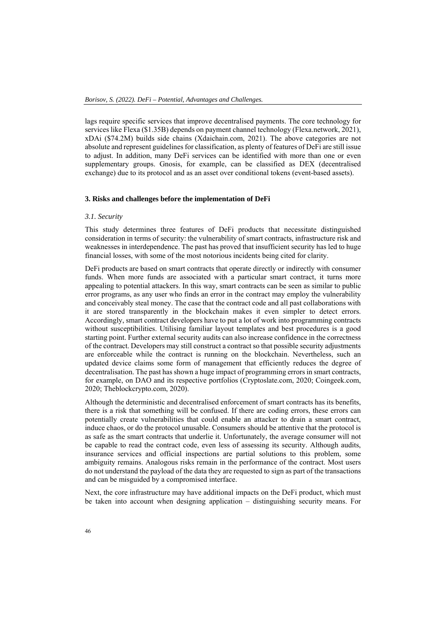lags require specific services that improve decentralised payments. The core technology for services like Flexa (\$1.35B) depends on payment channel technology (Flexa.network, 2021), xDAi (\$74.2M) builds side chains (Xdaichain.com, 2021). The above categories are not absolute and represent guidelines for classification, as plenty of features of DeFi are still issue to adjust. In addition, many DeFi services can be identified with more than one or even supplementary groups. Gnosis, for example, can be classified as DEX (decentralised exchange) due to its protocol and as an asset over conditional tokens (event-based assets).

### **3. Risks and challenges before the implementation of DeFi**

# *3.1. Security*

This study determines three features of DeFi products that necessitate distinguished consideration in terms of security: the vulnerability of smart contracts, infrastructure risk and weaknesses in interdependence. The past has proved that insufficient security has led to huge financial losses, with some of the most notorious incidents being cited for clarity.

DeFi products are based on smart contracts that operate directly or indirectly with consumer funds. When more funds are associated with a particular smart contract, it turns more appealing to potential attackers. In this way, smart contracts can be seen as similar to public error programs, as any user who finds an error in the contract may employ the vulnerability and conceivably steal money. The case that the contract code and all past collaborations with it are stored transparently in the blockchain makes it even simpler to detect errors. Accordingly, smart contract developers have to put a lot of work into programming contracts without susceptibilities. Utilising familiar layout templates and best procedures is a good starting point. Further external security audits can also increase confidence in the correctness of the contract. Developers may still construct a contract so that possible security adjustments are enforceable while the contract is running on the blockchain. Nevertheless, such an updated device claims some form of management that efficiently reduces the degree of decentralisation. The past has shown a huge impact of programming errors in smart contracts, for example, on DAO and its respective portfolios (Cryptoslate.com, 2020; Coingeek.com, 2020; Theblockcrypto.com, 2020).

Although the deterministic and decentralised enforcement of smart contracts has its benefits, there is a risk that something will be confused. If there are coding errors, these errors can potentially create vulnerabilities that could enable an attacker to drain a smart contract, induce chaos, or do the protocol unusable. Consumers should be attentive that the protocol is as safe as the smart contracts that underlie it. Unfortunately, the average consumer will not be capable to read the contract code, even less of assessing its security. Although audits, insurance services and official inspections are partial solutions to this problem, some ambiguity remains. Analogous risks remain in the performance of the contract. Most users do not understand the payload of the data they are requested to sign as part of the transactions and can be misguided by a compromised interface.

Next, the core infrastructure may have additional impacts on the DeFi product, which must be taken into account when designing application – distinguishing security means. For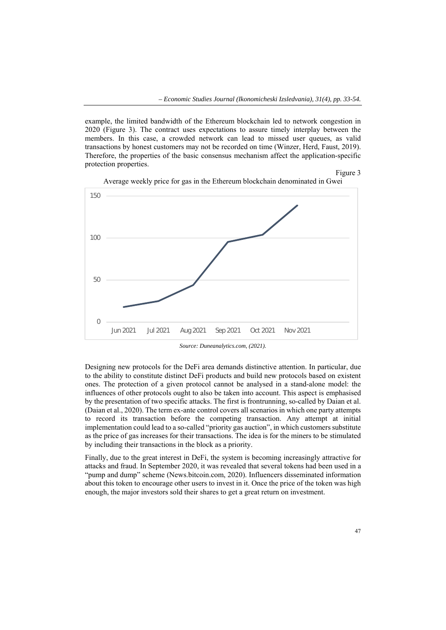example, the limited bandwidth of the Ethereum blockchain led to network congestion in 2020 (Figure 3). The contract uses expectations to assure timely interplay between the members. In this case, a crowded network can lead to missed user queues, as valid transactions by honest customers may not be recorded on time (Winzer, Herd, Faust, 2019). Therefore, the properties of the basic consensus mechanism affect the application-specific protection properties.

Figure 3



Average weekly price for gas in the Ethereum blockchain denominated in Gwei

*Source: Duneanalytics.com, (2021).* 

Designing new protocols for the DeFi area demands distinctive attention. In particular, due to the ability to constitute distinct DeFi products and build new protocols based on existent ones. The protection of a given protocol cannot be analysed in a stand-alone model: the influences of other protocols ought to also be taken into account. This aspect is emphasised by the presentation of two specific attacks. The first is frontrunning, so-called by Daian et al. (Daian et al., 2020). The term ex-ante control covers all scenarios in which one party attempts to record its transaction before the competing transaction. Any attempt at initial implementation could lead to a so-called "priority gas auction", in which customers substitute as the price of gas increases for their transactions. The idea is for the miners to be stimulated by including their transactions in the block as a priority.

Finally, due to the great interest in DeFi, the system is becoming increasingly attractive for attacks and fraud. In September 2020, it was revealed that several tokens had been used in a "pump and dump" scheme (News.bitcoin.com, 2020). Influencers disseminated information about this token to encourage other users to invest in it. Once the price of the token was high enough, the major investors sold their shares to get a great return on investment.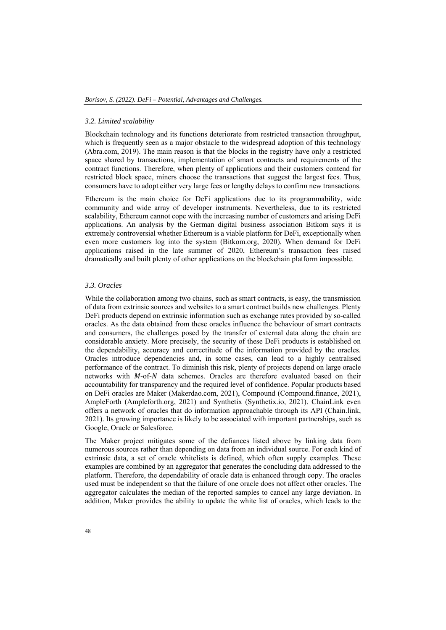### *3.2. Limited scalability*

Blockchain technology and its functions deteriorate from restricted transaction throughput, which is frequently seen as a major obstacle to the widespread adoption of this technology (Abra.com, 2019). The main reason is that the blocks in the registry have only a restricted space shared by transactions, implementation of smart contracts and requirements of the contract functions. Therefore, when plenty of applications and their customers contend for restricted block space, miners choose the transactions that suggest the largest fees. Thus, consumers have to adopt either very large fees or lengthy delays to confirm new transactions.

Ethereum is the main choice for DeFi applications due to its programmability, wide community and wide array of developer instruments. Nevertheless, due to its restricted scalability, Ethereum cannot cope with the increasing number of customers and arising DeFi applications. An analysis by the German digital business association Bitkom says it is extremely controversial whether Ethereum is a viable platform for DeFi, exceptionally when even more customers log into the system (Bitkom.org, 2020). When demand for DeFi applications raised in the late summer of 2020, Ethereum's transaction fees raised dramatically and built plenty of other applications on the blockchain platform impossible.

### *3.3. Oracles*

While the collaboration among two chains, such as smart contracts, is easy, the transmission of data from extrinsic sources and websites to a smart contract builds new challenges. Plenty DeFi products depend on extrinsic information such as exchange rates provided by so-called oracles. As the data obtained from these oracles influence the behaviour of smart contracts and consumers, the challenges posed by the transfer of external data along the chain are considerable anxiety. More precisely, the security of these DeFi products is established on the dependability, accuracy and correctitude of the information provided by the oracles. Oracles introduce dependencies and, in some cases, can lead to a highly centralised performance of the contract. To diminish this risk, plenty of projects depend on large oracle networks with  $M$ -of- $N$  data schemes. Oracles are therefore evaluated based on their accountability for transparency and the required level of confidence. Popular products based on DeFi oracles are Maker (Makerdao.com, 2021), Compound (Compound.finance, 2021), AmpleForth (Ampleforth.org, 2021) and Synthetix (Synthetix.io, 2021). ChainLink even offers a network of oracles that do information approachable through its API (Chain.link, 2021). Its growing importance is likely to be associated with important partnerships, such as Google, Oracle or Salesforce.

The Maker project mitigates some of the defiances listed above by linking data from numerous sources rather than depending on data from an individual source. For each kind of extrinsic data, a set of oracle whitelists is defined, which often supply examples. These examples are combined by an aggregator that generates the concluding data addressed to the platform. Therefore, the dependability of oracle data is enhanced through copy. The oracles used must be independent so that the failure of one oracle does not affect other oracles. The aggregator calculates the median of the reported samples to cancel any large deviation. In addition, Maker provides the ability to update the white list of oracles, which leads to the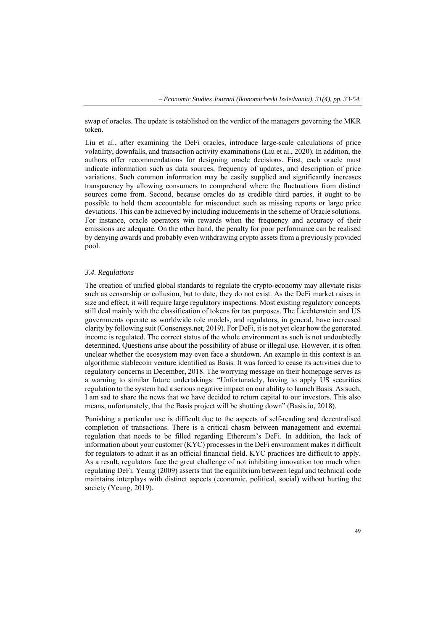swap of oracles. The update is established on the verdict of the managers governing the MKR token.

Liu et al., after examining the DeFi oracles, introduce large-scale calculations of price volatility, downfalls, and transaction activity examinations (Liu et al., 2020). In addition, the authors offer recommendations for designing oracle decisions. First, each oracle must indicate information such as data sources, frequency of updates, and description of price variations. Such common information may be easily supplied and significantly increases transparency by allowing consumers to comprehend where the fluctuations from distinct sources come from. Second, because oracles do as credible third parties, it ought to be possible to hold them accountable for misconduct such as missing reports or large price deviations. This can be achieved by including inducements in the scheme of Oracle solutions. For instance, oracle operators win rewards when the frequency and accuracy of their emissions are adequate. On the other hand, the penalty for poor performance can be realised by denying awards and probably even withdrawing crypto assets from a previously provided pool.

#### *3.4. Regulations*

The creation of unified global standards to regulate the crypto-economy may alleviate risks such as censorship or collusion, but to date, they do not exist. As the DeFi market raises in size and effect, it will require large regulatory inspections. Most existing regulatory concepts still deal mainly with the classification of tokens for tax purposes. The Liechtenstein and US governments operate as worldwide role models, and regulators, in general, have increased clarity by following suit (Consensys.net, 2019). For DeFi, it is not yet clear how the generated income is regulated. The correct status of the whole environment as such is not undoubtedly determined. Questions arise about the possibility of abuse or illegal use. However, it is often unclear whether the ecosystem may even face a shutdown. An example in this context is an algorithmic stablecoin venture identified as Basis. It was forced to cease its activities due to regulatory concerns in December, 2018. The worrying message on their homepage serves as a warning to similar future undertakings: "Unfortunately, having to apply US securities regulation to the system had a serious negative impact on our ability to launch Basis. As such, I am sad to share the news that we have decided to return capital to our investors. This also means, unfortunately, that the Basis project will be shutting down" (Basis.io, 2018).

Punishing a particular use is difficult due to the aspects of self-reading and decentralised completion of transactions. There is a critical chasm between management and external regulation that needs to be filled regarding Ethereum's DeFi. In addition, the lack of information about your customer (KYC) processes in the DeFi environment makes it difficult for regulators to admit it as an official financial field. KYC practices are difficult to apply. As a result, regulators face the great challenge of not inhibiting innovation too much when regulating DeFi. Yeung (2009) asserts that the equilibrium between legal and technical code maintains interplays with distinct aspects (economic, political, social) without hurting the society (Yeung, 2019).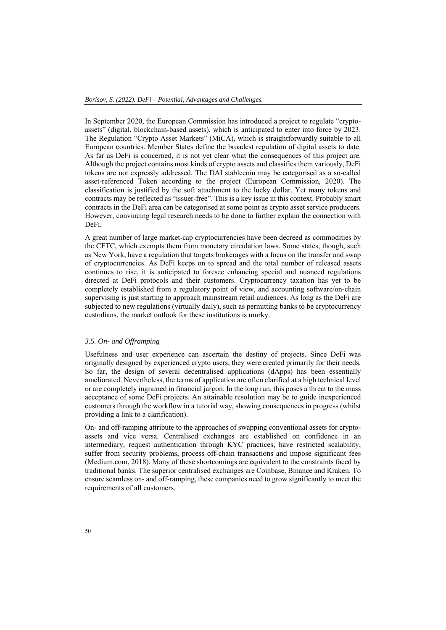In September 2020, the European Commission has introduced a project to regulate "cryptoassets" (digital, blockchain-based assets), which is anticipated to enter into force by 2023. The Regulation "Crypto Asset Markets" (MiCA), which is straightforwardly suitable to all European countries. Member States define the broadest regulation of digital assets to date. As far as DeFi is concerned, it is not yet clear what the consequences of this project are. Although the project contains most kinds of crypto assets and classifies them variously, DeFi tokens are not expressly addressed. The DAI stablecoin may be categorised as a so-called asset-referenced Token according to the project (European Commission, 2020). The classification is justified by the soft attachment to the lucky dollar. Yet many tokens and contracts may be reflected as "issuer-free". This is a key issue in this context. Probably smart contracts in the DeFi area can be categorised at some point as crypto asset service producers. However, convincing legal research needs to be done to further explain the connection with DeFi.

A great number of large market-cap cryptocurrencies have been decreed as commodities by the CFTC, which exempts them from monetary circulation laws. Some states, though, such as New York, have a regulation that targets brokerages with a focus on the transfer and swap of cryptocurrencies. As DeFi keeps on to spread and the total number of released assets continues to rise, it is anticipated to foresee enhancing special and nuanced regulations directed at DeFi protocols and their customers. Cryptocurrency taxation has yet to be completely established from a regulatory point of view, and accounting software/on-chain supervising is just starting to approach mainstream retail audiences. As long as the DeFi are subjected to new regulations (virtually daily), such as permitting banks to be cryptocurrency custodians, the market outlook for these institutions is murky.

# *3.5. On- and Offramping*

Usefulness and user experience can ascertain the destiny of projects. Since DeFi was originally designed by experienced crypto users, they were created primarily for their needs. So far, the design of several decentralised applications (dApps) has been essentially ameliorated. Nevertheless, the terms of application are often clarified at a high technical level or are completely ingrained in financial jargon. In the long run, this poses a threat to the mass acceptance of some DeFi projects. An attainable resolution may be to guide inexperienced customers through the workflow in a tutorial way, showing consequences in progress (whilst providing a link to a clarification).

On- and off-ramping attribute to the approaches of swapping conventional assets for cryptoassets and vice versa. Centralised exchanges are established on confidence in an intermediary, request authentication through KYC practices, have restricted scalability, suffer from security problems, process off-chain transactions and impose significant fees (Medium.com, 2018). Many of these shortcomings are equivalent to the constraints faced by traditional banks. The superior centralised exchanges are Coinbase, Binance and Kraken. To ensure seamless on- and off-ramping, these companies need to grow significantly to meet the requirements of all customers.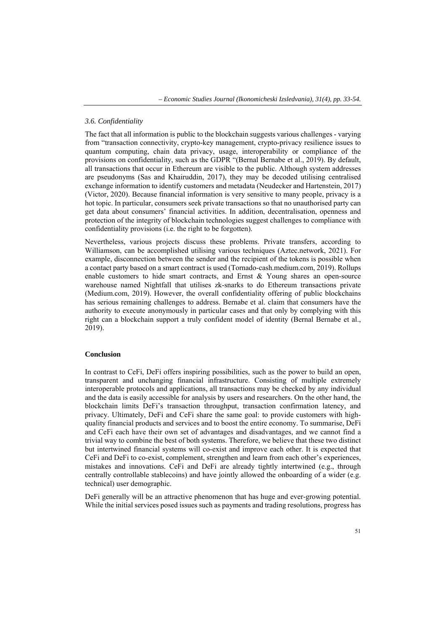# *3.6. Confidentiality*

The fact that all information is public to the blockchain suggests various challenges - varying from "transaction connectivity, crypto-key management, crypto-privacy resilience issues to quantum computing, chain data privacy, usage, interoperability or compliance of the provisions on confidentiality, such as the GDPR "(Bernal Bernabe et al., 2019). By default, all transactions that occur in Ethereum are visible to the public. Although system addresses are pseudonyms (Sas and Khairuddin, 2017), they may be decoded utilising centralised exchange information to identify customers and metadata (Neudecker and Hartenstein, 2017) (Victor, 2020). Because financial information is very sensitive to many people, privacy is a hot topic. In particular, consumers seek private transactions so that no unauthorised party can get data about consumers' financial activities. In addition, decentralisation, openness and protection of the integrity of blockchain technologies suggest challenges to compliance with confidentiality provisions (i.e. the right to be forgotten).

Nevertheless, various projects discuss these problems. Private transfers, according to Williamson, can be accomplished utilising various techniques (Aztec.network, 2021). For example, disconnection between the sender and the recipient of the tokens is possible when a contact party based on a smart contract is used (Tornado-cash.medium.com, 2019). Rollups enable customers to hide smart contracts, and Ernst & Young shares an open-source warehouse named Nightfall that utilises zk-snarks to do Ethereum transactions private (Medium.com, 2019). However, the overall confidentiality offering of public blockchains has serious remaining challenges to address. Bernabe et al. claim that consumers have the authority to execute anonymously in particular cases and that only by complying with this right can a blockchain support a truly confident model of identity (Bernal Bernabe et al., 2019).

#### **Conclusion**

In contrast to CeFi, DeFi offers inspiring possibilities, such as the power to build an open, transparent and unchanging financial infrastructure. Consisting of multiple extremely interoperable protocols and applications, all transactions may be checked by any individual and the data is easily accessible for analysis by users and researchers. On the other hand, the blockchain limits DeFi's transaction throughput, transaction confirmation latency, and privacy. Ultimately, DeFi and CeFi share the same goal: to provide customers with highquality financial products and services and to boost the entire economy. To summarise, DeFi and CeFi each have their own set of advantages and disadvantages, and we cannot find a trivial way to combine the best of both systems. Therefore, we believe that these two distinct but intertwined financial systems will co-exist and improve each other. It is expected that CeFi and DeFi to co-exist, complement, strengthen and learn from each other's experiences, mistakes and innovations. CeFi and DeFi are already tightly intertwined (e.g., through centrally controllable stablecoins) and have jointly allowed the onboarding of a wider (e.g. technical) user demographic.

DeFi generally will be an attractive phenomenon that has huge and ever-growing potential. While the initial services posed issues such as payments and trading resolutions, progress has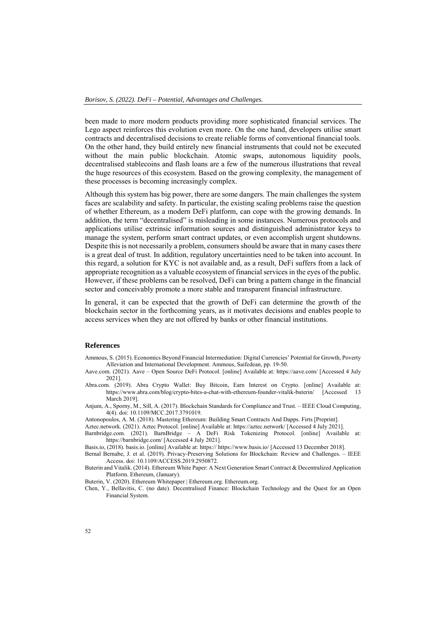been made to more modern products providing more sophisticated financial services. The Lego aspect reinforces this evolution even more. On the one hand, developers utilise smart contracts and decentralised decisions to create reliable forms of conventional financial tools. On the other hand, they build entirely new financial instruments that could not be executed without the main public blockchain. Atomic swaps, autonomous liquidity pools, decentralised stablecoins and flash loans are a few of the numerous illustrations that reveal the huge resources of this ecosystem. Based on the growing complexity, the management of these processes is becoming increasingly complex.

Although this system has big power, there are some dangers. The main challenges the system faces are scalability and safety. In particular, the existing scaling problems raise the question of whether Ethereum, as a modern DeFi platform, can cope with the growing demands. In addition, the term "decentralised" is misleading in some instances. Numerous protocols and applications utilise extrinsic information sources and distinguished administrator keys to manage the system, perform smart contract updates, or even accomplish urgent shutdowns. Despite this is not necessarily a problem, consumers should be aware that in many cases there is a great deal of trust. In addition, regulatory uncertainties need to be taken into account. In this regard, a solution for KYC is not available and, as a result, DeFi suffers from a lack of appropriate recognition as a valuable ecosystem of financial services in the eyes of the public. However, if these problems can be resolved, DeFi can bring a pattern change in the financial sector and conceivably promote a more stable and transparent financial infrastructure.

In general, it can be expected that the growth of DeFi can determine the growth of the blockchain sector in the forthcoming years, as it motivates decisions and enables people to access services when they are not offered by banks or other financial institutions.

#### **References**

Ammous, S. (2015). Economics Beyond Financial Intermediation: Digital Currencies' Potential for Growth, Poverty Alleviation and International Development. Ammous, Saifedean, pp. 19-50.

Aave.com. (2021). Aave – Open Source DeFi Protocol. [online] Available at: https://aave.com/ [Accessed 4 July 2021].

- Abra.com. (2019). Abra Crypto Wallet: Buy Bitcoin, Earn Interest on Crypto. [online] Available at: https://www.abra.com/blog/crypto-bites-a-chat-with-ethereum-founder-vitalik-buterin/ [Accessed 13 March 2019].
- Anjum, A., Sporny, M., Sill, A. (2017). Blockchain Standards for Compliance and Trust. IEEE Cloud Computing, 4(4). doi: 10.1109/MCC.2017.3791019.
- Antonopoulos, A. M. (2018). Mastering Ethereum: Building Smart Contracts And Dapps. Firts [Preprint].
- Aztec.network. (2021). Aztec Protocol. [online] Available at: https://aztec.network/ [Accessed 4 July 2021].

Barnbridge.com. (2021). BarnBridge – A DeFi Risk Tokenizing Protocol. [online] Available at: https://barnbridge.com/ [Accessed 4 July 2021].

Basis.io, (2018). basis.io. [online] Available at: https:// https://www.basis.io/ [Accessed 13 December 2018].

Bernal Bernabe, J. et al. (2019). Privacy-Preserving Solutions for Blockchain: Review and Challenges. – IEEE Access. doi: 10.1109/ACCESS.2019.2950872.

Buterin and Vitalik. (2014). Ethereum White Paper: A Next Generation Smart Contract & Decentralized Application Platform. Ethereum, (January).

Buterin, V. (2020). Ethereum Whitepaper | Ethereum.org. Ethereum.org.

Chen, Y., Bellavitis, C. (no date). Decentralised Finance: Blockchain Technology and the Quest for an Open Financial System.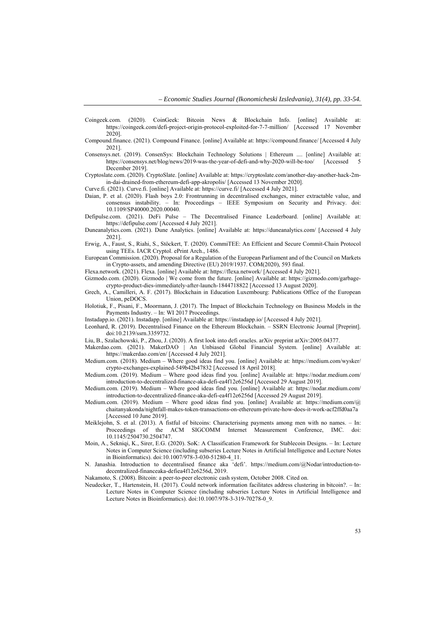- Coingeek.com. (2020). CoinGeek: Bitcoin News & Blockchain Info. [online] Available at: https://coingeek.com/defi-project-origin-protocol-exploited-for-7-7-million/ [Accessed 17 November 2020].
- Compound.finance. (2021). Compound Finance. [online] Available at: https://compound.finance/ [Accessed 4 July 2021].
- Consensys.net. (2019). ConsenSys: Blockchain Technology Solutions | Ethereum .... [online] Available at: https://consensys.net/blog/news/2019-was-the-year-of-defi-and-why-2020-will-be-too/ [Accessed 5 December 2019].
- Cryptoslate.com. (2020). CryptoSlate. [online] Available at: https://cryptoslate.com/another-day-another-hack-2min-dai-drained-from-ethereum-defi-app-akropolis/ [Accessed 13 November 2020].

Curve.fi. (2021). Curve.fi. [online] Available at: https://curve.fi/ [Accessed 4 July 2021].

- Daian, P. et al. (2020). Flash boys 2.0: Frontrunning in decentralised exchanges, miner extractable value, and consensus instability. – In: Proceedings – IEEE Symposium on Security and Privacy. doi: 10.1109/SP40000.2020.00040.
- Defipulse.com. (2021). DeFi Pulse The Decentralised Finance Leaderboard. [online] Available at: https://defipulse.com/ [Accessed 4 July 2021].
- Duneanalytics.com. (2021). Dune Analytics. [online] Available at: https://duneanalytics.com/ [Accessed 4 July 2021].
- Erwig, A., Faust, S., Riahi, S., Stöckert, T. (2020). CommiTEE: An Efficient and Secure Commit-Chain Protocol using TEEs. IACR Cryptol. ePrint Arch., 1486.
- European Commission. (2020). Proposal for a Regulation of the European Parliament and of the Council on Markets in Crypto-assets, and amending Directive (EU) 2019/1937. COM(2020), 593 final.
- Flexa.network. (2021). Flexa. [online] Available at: https://flexa.network/ [Accessed 4 July 2021].
- Gizmodo.com. (2020). Gizmodo | We come from the future. [online] Available at: https://gizmodo.com/garbagecrypto-product-dies-immediately-after-launch-1844718822 [Accessed 13 August 2020].
- Grech, A., Camilleri, A. F. (2017). Blockchain in Education Luxembourg: Publications Office of the European Union, peDOCS.
- Holotiuk, F., Pisani, F., Moormann, J. (2017). The Impact of Blockchain Technology on Business Models in the Payments Industry. – In: WI 2017 Proceedings.
- Instadapp.io. (2021). Instadapp. [online] Available at: https://instadapp.io/ [Accessed 4 July 2021].
- Leonhard, R. (2019). Decentralised Finance on the Ethereum Blockchain. SSRN Electronic Journal [Preprint]. doi:10.2139/ssrn.3359732.
- Liu, B., Szalachowski, P., Zhou, J. (2020). A first look into defi oracles. arXiv preprint arXiv:2005.04377.
- Makerdao.com. (2021). MakerDAO | An Unbiased Global Financial System. [online] Available at: https://makerdao.com/en/ [Accessed 4 July 2021].
- Medium.com. (2018). Medium Where good ideas find you. [online] Available at: https://medium.com/wysker/ crypto-exchanges-explained-549b42b47832 [Accessed 18 April 2018].
- Medium.com. (2019). Medium Where good ideas find you. [online] Available at: https://nodar.medium.com/ introduction-to-decentralized-finance-aka-defi-ea4f12e6256d [Accessed 29 August 2019].
- Medium.com. (2019). Medium Where good ideas find you. [online] Available at: https://nodar.medium.com/ introduction-to-decentralized-finance-aka-defi-ea4f12e6256d [Accessed 29 August 2019].
- Medium.com. (2019). Medium Where good ideas find you. [online] Available at: https://medium.com/@ chaitanyakonda/nightfall-makes-token-transactions-on-ethereum-private-how-does-it-work-acf2ffd0aa7a [Accessed 10 June 2019].
- Meiklejohn, S. et al. (2013). A fistful of bitcoins: Characterising payments among men with no names. In: Proceedings of the ACM SIGCOMM Internet Measurement Conference, IMC. doi: 10.1145/2504730.2504747.
- Moin, A., Sekniqi, K., Sirer, E.G. (2020). SoK: A Classification Framework for Stablecoin Designs. In: Lecture Notes in Computer Science (including subseries Lecture Notes in Artificial Intelligence and Lecture Notes in Bioinformatics). doi:10.1007/978-3-030-51280-4\_11.
- N. Janashia. Introduction to decentralised finance aka 'defi'. https://medium.com/@Nodar/introduction-todecentralized-financeaka-defiea4f12e6256d, 2019.

Nakamoto, S. (2008). Bitcoin: a peer-to-peer electronic cash system, October 2008. Cited on.

Neudecker, T., Hartenstein, H. (2017). Could network information facilitates address clustering in bitcoin?. – In: Lecture Notes in Computer Science (including subseries Lecture Notes in Artificial Intelligence and Lecture Notes in Bioinformatics). doi:10.1007/978-3-319-70278-0\_9.